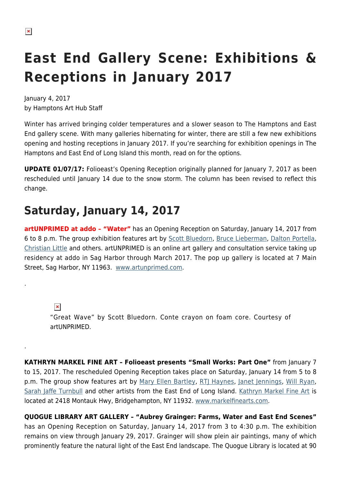.

.

# **East End Gallery Scene: Exhibitions & Receptions in January 2017**

January 4, 2017 by Hamptons Art Hub Staff

Winter has arrived bringing colder temperatures and a slower season to The Hamptons and East End gallery scene. With many galleries hibernating for winter, there are still a few new exhibitions opening and hosting receptions in January 2017. If you're searching for exhibition openings in The Hamptons and East End of Long Island this month, read on for the options.

**UPDATE 01/07/17:** Folioeast's Opening Reception originally planned for January 7, 2017 as been rescheduled until January 14 due to the snow storm. The column has been revised to reflect this change.

#### **Saturday, January 14, 2017**

**artUNPRIMED at addo – "Water"** has an Opening Reception on Saturday, January 14, 2017 from 6 to 8 p.m. The group exhibition features art by [Scott Bluedorn](http://www.scottbluedorn.com/), [Bruce Lieberman](http://brucelieberman.com/), [Dalton Portella,](https://hamptonsarthub.com/2013/12/10/in-thstudio-dalton-portella/) [Christian Little](http://christianlittle.tumblr.com/) and others. artUNPRIMED is an online art gallery and consultation service taking up residency at addo in Sag Harbor through March 2017. The pop up gallery is located at 7 Main Street, Sag Harbor, NY 11963. [www.artunprimed.com](https://www.artunprimed.com/products/great-wave).

 $\pmb{\times}$ "Great Wave" by Scott Bluedorn. Conte crayon on foam core. Courtesy of artUNPRIMED.

**KATHRYN MARKEL FINE ART – Folioeast presents "Small Works: Part One"** from January 7 to 15, 2017. The rescheduled Opening Reception takes place on Saturday, January 14 from 5 to 8 p.m. The group show features art by [Mary Ellen Bartley](https://hamptonsarthub.com/2015/02/25/photography-by-mary-ellen-bartley/), [RTJ Haynes,](http://www.folioeast.com/toby-haynes/) [Janet Jennings](http://www.janetjenningsart.com/), [Will Ryan,](http://www.willryanstudio.com/) [Sarah Jaffe Turnbull](http://www.sarahjaffeturnbull.com/) and other artists from the East End of Long Island. [Kathryn Markel Fine Art](https://hamptonsarthub.com/gallery-guide/kathryn-markel-fine-arts/) is located at 2418 Montauk Hwy, Bridgehampton, NY 11932. [www.markelfinearts.com.](http://www.markelfinearts.com)

**QUOGUE LIBRARY ART GALLERY – "Aubrey Grainger: Farms, Water and East End Scenes"** has an Opening Reception on Saturday, January 14, 2017 from 3 to 4:30 p.m. The exhibition remains on view through January 29, 2017. Grainger will show plein air paintings, many of which prominently feature the natural light of the East End landscape. The Quogue Library is located at 90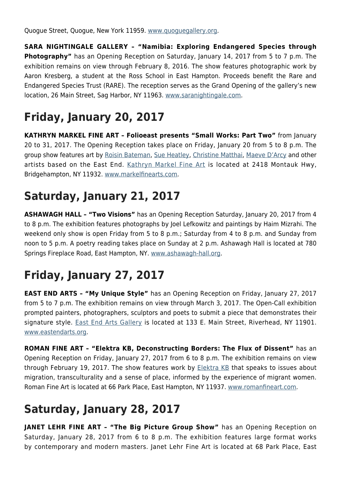Quogue Street, Quogue, New York 11959. [www.quoguegallery.org](http://www.quoguegallery.org).

**SARA NIGHTINGALE GALLERY – "Namibia: Exploring Endangered Species through Photography"** has an Opening Reception on Saturday, January 14, 2017 from 5 to 7 p.m. The exhibition remains on view through February 8, 2016. The show features photographic work by Aaron Kresberg, a student at the Ross School in East Hampton. Proceeds benefit the Rare and Endangered Species Trust (RARE). The reception serves as the Grand Opening of the gallery's new location, 26 Main Street, Sag Harbor, NY 11963. [www.saranightingale.com.](http://www.saranightingale.com)

# **Friday, January 20, 2017**

**KATHRYN MARKEL FINE ART – Folioeast presents "Small Works: Part Two"** from January 20 to 31, 2017. The Opening Reception takes place on Friday, January 20 from 5 to 8 p.m. The group show features art by [Roisin Bateman,](https://hamptonsarthub.com/2014/10/30/roisin-bateman-2/) [Sue Heatley](http://sueheatley.com/home.html), [Christine Matthai,](https://hamptonsarthub.com/directory/artists/hamptons-east-end/christine-matthai/) [Maeve D'Arcy](http://maevedarcy.com/home.html) and other artists based on the East End. [Kathryn Markel Fine Art](https://hamptonsarthub.com/gallery-guide/kathryn-markel-fine-arts/) is located at 2418 Montauk Hwy, Bridgehampton, NY 11932. [www.markelfinearts.com.](http://www.markelfinearts.com)

#### **Saturday, January 21, 2017**

**ASHAWAGH HALL – "Two Visions"** has an Opening Reception Saturday, January 20, 2017 from 4 to 8 p.m. The exhibition features photographs by Joel Lefkowitz and paintings by Haim Mizrahi. The weekend only show is open Friday from 5 to 8 p.m.; Saturday from 4 to 8 p.m. and Sunday from noon to 5 p.m. A poetry reading takes place on Sunday at 2 p.m. Ashawagh Hall is located at 780 Springs Fireplace Road, East Hampton, NY. [www.ashawagh-hall.org](http://ashawagh-hall.org/).

## **Friday, January 27, 2017**

**EAST END ARTS – "My Unique Style"** has an Opening Reception on Friday, January 27, 2017 from 5 to 7 p.m. The exhibition remains on view through March 3, 2017. The Open-Call exhibition prompted painters, photographers, sculptors and poets to submit a piece that demonstrates their signature style. [East End Arts Gallery](https://hamptonsarthub.com/gallery-guide/east-end-arts/) is located at 133 E. Main Street, Riverhead, NY 11901. [www.eastendarts.org.](http://www.eastendarts.org)

**ROMAN FINE ART – "Elektra KB, Deconstructing Borders: The Flux of Dissent"** has an Opening Reception on Friday, January 27, 2017 from 6 to 8 p.m. The exhibition remains on view through February 19, 2017. The show features work by [Elektra KB](http://www.elektrakb.com/) that speaks to issues about migration, transculturality and a sense of place, informed by the experience of migrant women. Roman Fine Art is located at 66 Park Place, East Hampton, NY 11937. [www.romanfineart.com](http://www.romanfineart.com).

### **Saturday, January 28, 2017**

**JANET LEHR FINE ART – "The Big Picture Group Show"** has an Opening Reception on Saturday, January 28, 2017 from 6 to 8 p.m. The exhibition features large format works by contemporary and modern masters. Janet Lehr Fine Art is located at 68 Park Place, East